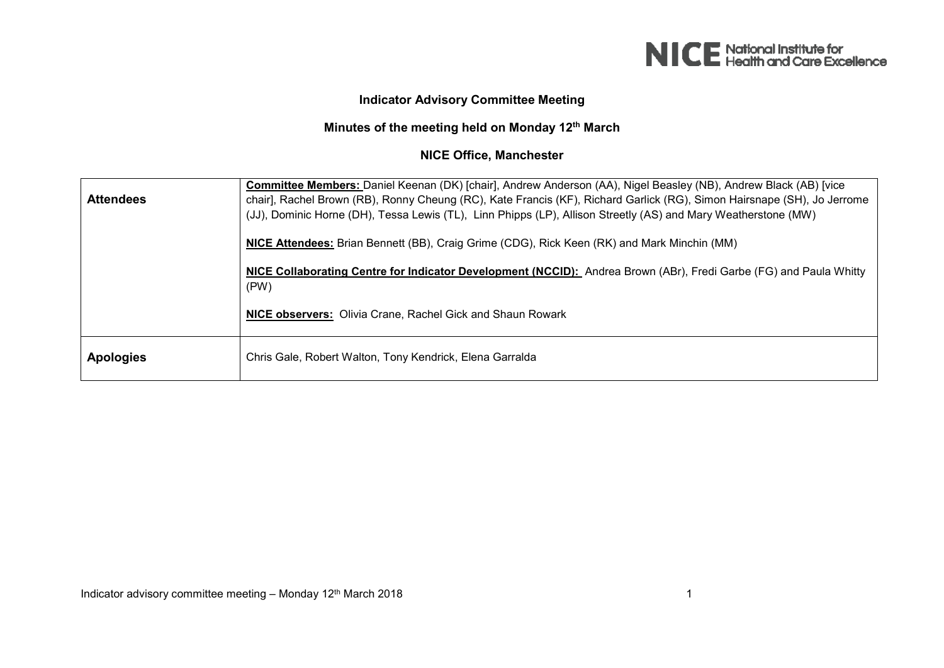

## **Indicator Advisory Committee Meeting**

## **Minutes of the meeting held on Monday 12th March**

## **NICE Office, Manchester**

| <b>Attendees</b> | Committee Members: Daniel Keenan (DK) [chair], Andrew Anderson (AA), Nigel Beasley (NB), Andrew Black (AB) [vice<br>chair], Rachel Brown (RB), Ronny Cheung (RC), Kate Francis (KF), Richard Garlick (RG), Simon Hairsnape (SH), Jo Jerrome<br>(JJ), Dominic Horne (DH), Tessa Lewis (TL), Linn Phipps (LP), Allison Streetly (AS) and Mary Weatherstone (MW) |
|------------------|---------------------------------------------------------------------------------------------------------------------------------------------------------------------------------------------------------------------------------------------------------------------------------------------------------------------------------------------------------------|
|                  | NICE Attendees: Brian Bennett (BB), Craig Grime (CDG), Rick Keen (RK) and Mark Minchin (MM)                                                                                                                                                                                                                                                                   |
|                  | NICE Collaborating Centre for Indicator Development (NCCID): Andrea Brown (ABr), Fredi Garbe (FG) and Paula Whitty<br>(PW)                                                                                                                                                                                                                                    |
|                  | NICE observers: Olivia Crane, Rachel Gick and Shaun Rowark                                                                                                                                                                                                                                                                                                    |
| <b>Apologies</b> | Chris Gale, Robert Walton, Tony Kendrick, Elena Garralda                                                                                                                                                                                                                                                                                                      |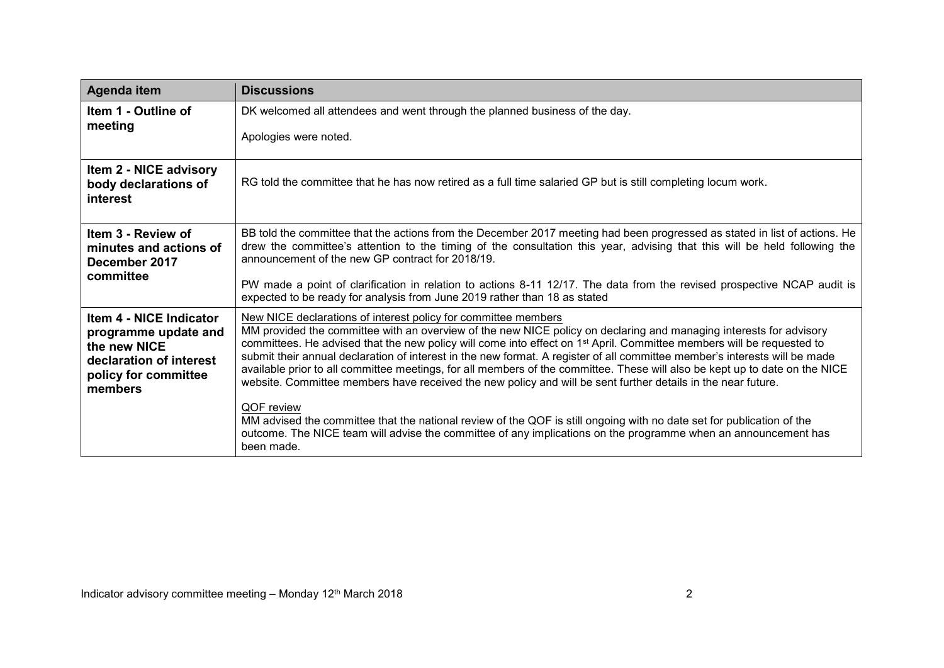| Agenda item                                                                                                                   | <b>Discussions</b>                                                                                                                                                                                                                                                                                                                                                                                                                                                                                                                                                                                                                                                                                     |
|-------------------------------------------------------------------------------------------------------------------------------|--------------------------------------------------------------------------------------------------------------------------------------------------------------------------------------------------------------------------------------------------------------------------------------------------------------------------------------------------------------------------------------------------------------------------------------------------------------------------------------------------------------------------------------------------------------------------------------------------------------------------------------------------------------------------------------------------------|
| Item 1 - Outline of<br>meeting                                                                                                | DK welcomed all attendees and went through the planned business of the day.                                                                                                                                                                                                                                                                                                                                                                                                                                                                                                                                                                                                                            |
|                                                                                                                               | Apologies were noted.                                                                                                                                                                                                                                                                                                                                                                                                                                                                                                                                                                                                                                                                                  |
| Item 2 - NICE advisory<br>body declarations of<br>interest                                                                    | RG told the committee that he has now retired as a full time salaried GP but is still completing locum work.                                                                                                                                                                                                                                                                                                                                                                                                                                                                                                                                                                                           |
| Item 3 - Review of<br>minutes and actions of<br>December 2017<br>committee                                                    | BB told the committee that the actions from the December 2017 meeting had been progressed as stated in list of actions. He<br>drew the committee's attention to the timing of the consultation this year, advising that this will be held following the<br>announcement of the new GP contract for 2018/19.<br>PW made a point of clarification in relation to actions 8-11 12/17. The data from the revised prospective NCAP audit is                                                                                                                                                                                                                                                                 |
|                                                                                                                               | expected to be ready for analysis from June 2019 rather than 18 as stated                                                                                                                                                                                                                                                                                                                                                                                                                                                                                                                                                                                                                              |
| Item 4 - NICE Indicator<br>programme update and<br>the new NICE<br>declaration of interest<br>policy for committee<br>members | New NICE declarations of interest policy for committee members<br>MM provided the committee with an overview of the new NICE policy on declaring and managing interests for advisory<br>committees. He advised that the new policy will come into effect on 1 <sup>st</sup> April. Committee members will be requested to<br>submit their annual declaration of interest in the new format. A register of all committee member's interests will be made<br>available prior to all committee meetings, for all members of the committee. These will also be kept up to date on the NICE<br>website. Committee members have received the new policy and will be sent further details in the near future. |
|                                                                                                                               | QOF review<br>MM advised the committee that the national review of the QOF is still ongoing with no date set for publication of the<br>outcome. The NICE team will advise the committee of any implications on the programme when an announcement has<br>been made.                                                                                                                                                                                                                                                                                                                                                                                                                                    |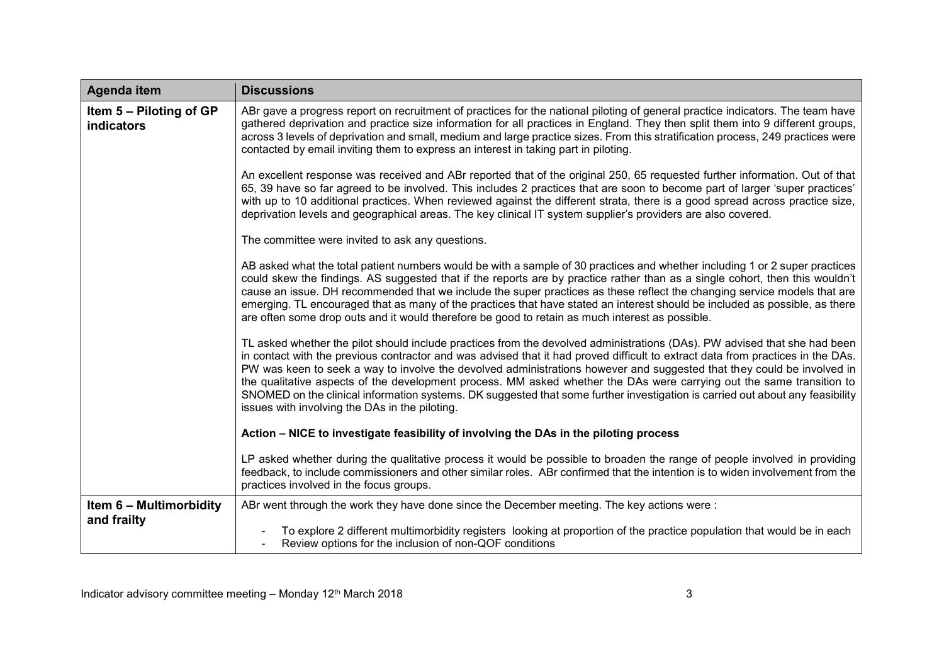| Agenda item                                  | <b>Discussions</b>                                                                                                                                                                                                                                                                                                                                                                                                                                                                                                                                                                                                                                                                                 |
|----------------------------------------------|----------------------------------------------------------------------------------------------------------------------------------------------------------------------------------------------------------------------------------------------------------------------------------------------------------------------------------------------------------------------------------------------------------------------------------------------------------------------------------------------------------------------------------------------------------------------------------------------------------------------------------------------------------------------------------------------------|
| Item 5 – Piloting of GP<br><b>indicators</b> | ABr gave a progress report on recruitment of practices for the national piloting of general practice indicators. The team have<br>gathered deprivation and practice size information for all practices in England. They then split them into 9 different groups,<br>across 3 levels of deprivation and small, medium and large practice sizes. From this stratification process, 249 practices were<br>contacted by email inviting them to express an interest in taking part in piloting.                                                                                                                                                                                                         |
|                                              | An excellent response was received and ABr reported that of the original 250, 65 requested further information. Out of that<br>65, 39 have so far agreed to be involved. This includes 2 practices that are soon to become part of larger 'super practices'<br>with up to 10 additional practices. When reviewed against the different strata, there is a good spread across practice size,<br>deprivation levels and geographical areas. The key clinical IT system supplier's providers are also covered.                                                                                                                                                                                        |
|                                              | The committee were invited to ask any questions.                                                                                                                                                                                                                                                                                                                                                                                                                                                                                                                                                                                                                                                   |
|                                              | AB asked what the total patient numbers would be with a sample of 30 practices and whether including 1 or 2 super practices<br>could skew the findings. AS suggested that if the reports are by practice rather than as a single cohort, then this wouldn't<br>cause an issue. DH recommended that we include the super practices as these reflect the changing service models that are<br>emerging. TL encouraged that as many of the practices that have stated an interest should be included as possible, as there<br>are often some drop outs and it would therefore be good to retain as much interest as possible.                                                                          |
|                                              | TL asked whether the pilot should include practices from the devolved administrations (DAs). PW advised that she had been<br>in contact with the previous contractor and was advised that it had proved difficult to extract data from practices in the DAs.<br>PW was keen to seek a way to involve the devolved administrations however and suggested that they could be involved in<br>the qualitative aspects of the development process. MM asked whether the DAs were carrying out the same transition to<br>SNOMED on the clinical information systems. DK suggested that some further investigation is carried out about any feasibility<br>issues with involving the DAs in the piloting. |
|                                              | Action – NICE to investigate feasibility of involving the DAs in the piloting process                                                                                                                                                                                                                                                                                                                                                                                                                                                                                                                                                                                                              |
|                                              | LP asked whether during the qualitative process it would be possible to broaden the range of people involved in providing<br>feedback, to include commissioners and other similar roles. ABr confirmed that the intention is to widen involvement from the<br>practices involved in the focus groups.                                                                                                                                                                                                                                                                                                                                                                                              |
| Item 6 - Multimorbidity<br>and frailty       | ABr went through the work they have done since the December meeting. The key actions were:                                                                                                                                                                                                                                                                                                                                                                                                                                                                                                                                                                                                         |
|                                              | To explore 2 different multimorbidity registers looking at proportion of the practice population that would be in each<br>Review options for the inclusion of non-QOF conditions                                                                                                                                                                                                                                                                                                                                                                                                                                                                                                                   |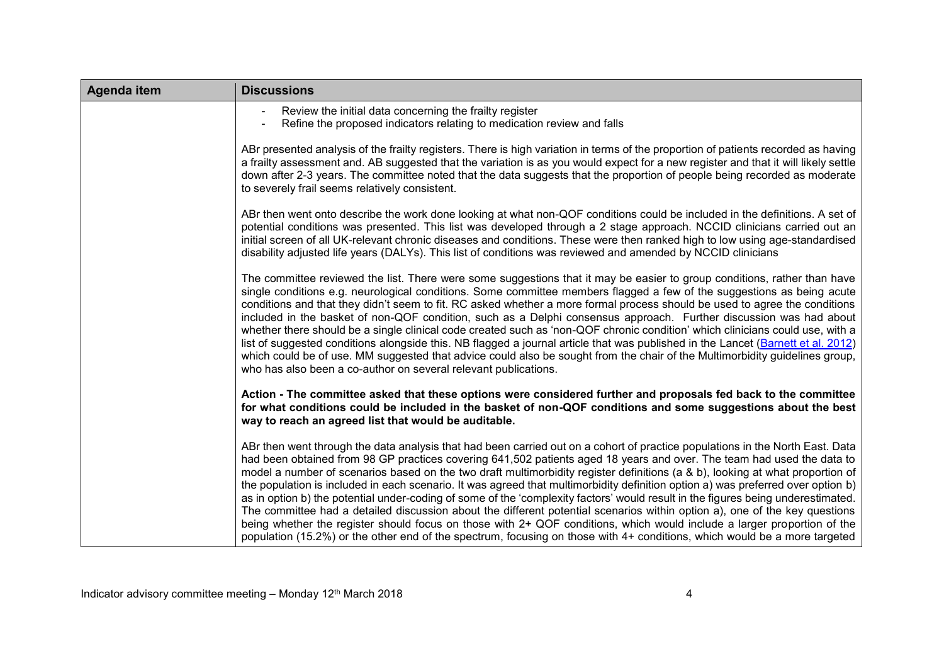| Agenda item | <b>Discussions</b>                                                                                                                                                                                                                                                                                                                                                                                                                                                                                                                                                                                                                                                                                                                                                                                                                                                                                                                                                                                                                                     |
|-------------|--------------------------------------------------------------------------------------------------------------------------------------------------------------------------------------------------------------------------------------------------------------------------------------------------------------------------------------------------------------------------------------------------------------------------------------------------------------------------------------------------------------------------------------------------------------------------------------------------------------------------------------------------------------------------------------------------------------------------------------------------------------------------------------------------------------------------------------------------------------------------------------------------------------------------------------------------------------------------------------------------------------------------------------------------------|
|             | Review the initial data concerning the frailty register<br>Refine the proposed indicators relating to medication review and falls                                                                                                                                                                                                                                                                                                                                                                                                                                                                                                                                                                                                                                                                                                                                                                                                                                                                                                                      |
|             | ABr presented analysis of the frailty registers. There is high variation in terms of the proportion of patients recorded as having<br>a frailty assessment and. AB suggested that the variation is as you would expect for a new register and that it will likely settle<br>down after 2-3 years. The committee noted that the data suggests that the proportion of people being recorded as moderate<br>to severely frail seems relatively consistent.                                                                                                                                                                                                                                                                                                                                                                                                                                                                                                                                                                                                |
|             | ABr then went onto describe the work done looking at what non-QOF conditions could be included in the definitions. A set of<br>potential conditions was presented. This list was developed through a 2 stage approach. NCCID clinicians carried out an<br>initial screen of all UK-relevant chronic diseases and conditions. These were then ranked high to low using age-standardised<br>disability adjusted life years (DALYs). This list of conditions was reviewed and amended by NCCID clinicians                                                                                                                                                                                                                                                                                                                                                                                                                                                                                                                                                 |
|             | The committee reviewed the list. There were some suggestions that it may be easier to group conditions, rather than have<br>single conditions e.g. neurological conditions. Some committee members flagged a few of the suggestions as being acute<br>conditions and that they didn't seem to fit. RC asked whether a more formal process should be used to agree the conditions<br>included in the basket of non-QOF condition, such as a Delphi consensus approach. Further discussion was had about<br>whether there should be a single clinical code created such as 'non-QOF chronic condition' which clinicians could use, with a<br>list of suggested conditions alongside this. NB flagged a journal article that was published in the Lancet (Barnett et al. 2012)<br>which could be of use. MM suggested that advice could also be sought from the chair of the Multimorbidity guidelines group,<br>who has also been a co-author on several relevant publications.                                                                          |
|             | Action - The committee asked that these options were considered further and proposals fed back to the committee<br>for what conditions could be included in the basket of non-QOF conditions and some suggestions about the best<br>way to reach an agreed list that would be auditable.                                                                                                                                                                                                                                                                                                                                                                                                                                                                                                                                                                                                                                                                                                                                                               |
|             | ABr then went through the data analysis that had been carried out on a cohort of practice populations in the North East. Data<br>had been obtained from 98 GP practices covering 641,502 patients aged 18 years and over. The team had used the data to<br>model a number of scenarios based on the two draft multimorbidity register definitions (a & b), looking at what proportion of<br>the population is included in each scenario. It was agreed that multimorbidity definition option a) was preferred over option b)<br>as in option b) the potential under-coding of some of the 'complexity factors' would result in the figures being underestimated.<br>The committee had a detailed discussion about the different potential scenarios within option a), one of the key questions<br>being whether the register should focus on those with 2+ QOF conditions, which would include a larger proportion of the<br>population (15.2%) or the other end of the spectrum, focusing on those with 4+ conditions, which would be a more targeted |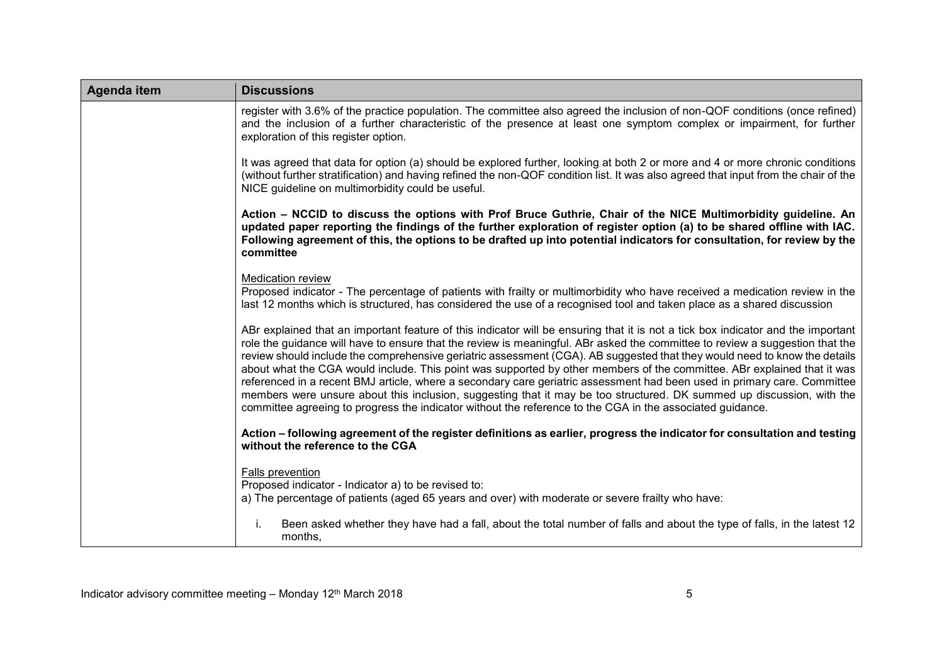| Agenda item | <b>Discussions</b>                                                                                                                                                                                                                                                                                                                                                                                                                                                                                                                                                                                                                                                                                                                                                                                                                                                                         |
|-------------|--------------------------------------------------------------------------------------------------------------------------------------------------------------------------------------------------------------------------------------------------------------------------------------------------------------------------------------------------------------------------------------------------------------------------------------------------------------------------------------------------------------------------------------------------------------------------------------------------------------------------------------------------------------------------------------------------------------------------------------------------------------------------------------------------------------------------------------------------------------------------------------------|
|             | register with 3.6% of the practice population. The committee also agreed the inclusion of non-QOF conditions (once refined)<br>and the inclusion of a further characteristic of the presence at least one symptom complex or impairment, for further<br>exploration of this register option.                                                                                                                                                                                                                                                                                                                                                                                                                                                                                                                                                                                               |
|             | It was agreed that data for option (a) should be explored further, looking at both 2 or more and 4 or more chronic conditions<br>(without further stratification) and having refined the non-QOF condition list. It was also agreed that input from the chair of the<br>NICE guideline on multimorbidity could be useful.                                                                                                                                                                                                                                                                                                                                                                                                                                                                                                                                                                  |
|             | Action – NCCID to discuss the options with Prof Bruce Guthrie, Chair of the NICE Multimorbidity guideline. An<br>updated paper reporting the findings of the further exploration of register option (a) to be shared offline with IAC.<br>Following agreement of this, the options to be drafted up into potential indicators for consultation, for review by the<br>committee                                                                                                                                                                                                                                                                                                                                                                                                                                                                                                             |
|             | Medication review<br>Proposed indicator - The percentage of patients with frailty or multimorbidity who have received a medication review in the<br>last 12 months which is structured, has considered the use of a recognised tool and taken place as a shared discussion                                                                                                                                                                                                                                                                                                                                                                                                                                                                                                                                                                                                                 |
|             | ABr explained that an important feature of this indicator will be ensuring that it is not a tick box indicator and the important<br>role the guidance will have to ensure that the review is meaningful. ABr asked the committee to review a suggestion that the<br>review should include the comprehensive geriatric assessment (CGA). AB suggested that they would need to know the details<br>about what the CGA would include. This point was supported by other members of the committee. ABr explained that it was<br>referenced in a recent BMJ article, where a secondary care geriatric assessment had been used in primary care. Committee<br>members were unsure about this inclusion, suggesting that it may be too structured. DK summed up discussion, with the<br>committee agreeing to progress the indicator without the reference to the CGA in the associated guidance. |
|             | Action – following agreement of the register definitions as earlier, progress the indicator for consultation and testing<br>without the reference to the CGA                                                                                                                                                                                                                                                                                                                                                                                                                                                                                                                                                                                                                                                                                                                               |
|             | Falls prevention<br>Proposed indicator - Indicator a) to be revised to:<br>a) The percentage of patients (aged 65 years and over) with moderate or severe frailty who have:                                                                                                                                                                                                                                                                                                                                                                                                                                                                                                                                                                                                                                                                                                                |
|             | Been asked whether they have had a fall, about the total number of falls and about the type of falls, in the latest 12<br>months,                                                                                                                                                                                                                                                                                                                                                                                                                                                                                                                                                                                                                                                                                                                                                          |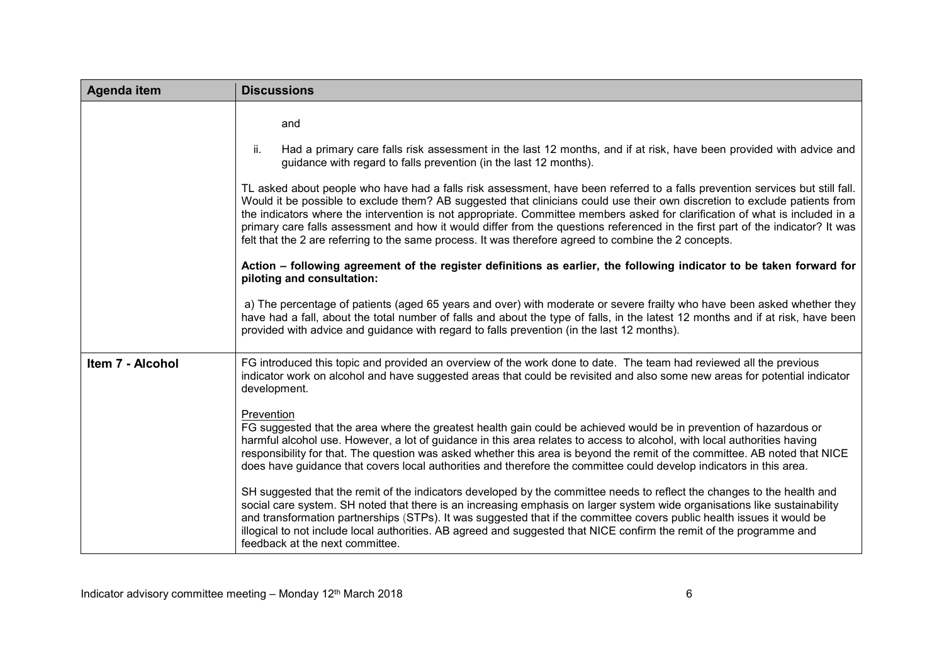| <b>Agenda item</b> | <b>Discussions</b>                                                                                                                                                                                                                                                                                                                                                                                                                                                                                                                                                                                                                     |
|--------------------|----------------------------------------------------------------------------------------------------------------------------------------------------------------------------------------------------------------------------------------------------------------------------------------------------------------------------------------------------------------------------------------------------------------------------------------------------------------------------------------------------------------------------------------------------------------------------------------------------------------------------------------|
|                    | and                                                                                                                                                                                                                                                                                                                                                                                                                                                                                                                                                                                                                                    |
|                    | ii.<br>Had a primary care falls risk assessment in the last 12 months, and if at risk, have been provided with advice and<br>guidance with regard to falls prevention (in the last 12 months).                                                                                                                                                                                                                                                                                                                                                                                                                                         |
|                    | TL asked about people who have had a falls risk assessment, have been referred to a falls prevention services but still fall.<br>Would it be possible to exclude them? AB suggested that clinicians could use their own discretion to exclude patients from<br>the indicators where the intervention is not appropriate. Committee members asked for clarification of what is included in a<br>primary care falls assessment and how it would differ from the questions referenced in the first part of the indicator? It was<br>felt that the 2 are referring to the same process. It was therefore agreed to combine the 2 concepts. |
|                    | Action – following agreement of the register definitions as earlier, the following indicator to be taken forward for<br>piloting and consultation:                                                                                                                                                                                                                                                                                                                                                                                                                                                                                     |
|                    | a) The percentage of patients (aged 65 years and over) with moderate or severe frailty who have been asked whether they<br>have had a fall, about the total number of falls and about the type of falls, in the latest 12 months and if at risk, have been<br>provided with advice and guidance with regard to falls prevention (in the last 12 months).                                                                                                                                                                                                                                                                               |
| Item 7 - Alcohol   | FG introduced this topic and provided an overview of the work done to date. The team had reviewed all the previous<br>indicator work on alcohol and have suggested areas that could be revisited and also some new areas for potential indicator<br>development.                                                                                                                                                                                                                                                                                                                                                                       |
|                    | Prevention<br>FG suggested that the area where the greatest health gain could be achieved would be in prevention of hazardous or<br>harmful alcohol use. However, a lot of guidance in this area relates to access to alcohol, with local authorities having<br>responsibility for that. The question was asked whether this area is beyond the remit of the committee. AB noted that NICE<br>does have guidance that covers local authorities and therefore the committee could develop indicators in this area.                                                                                                                      |
|                    | SH suggested that the remit of the indicators developed by the committee needs to reflect the changes to the health and<br>social care system. SH noted that there is an increasing emphasis on larger system wide organisations like sustainability<br>and transformation partnerships (STPs). It was suggested that if the committee covers public health issues it would be<br>illogical to not include local authorities. AB agreed and suggested that NICE confirm the remit of the programme and<br>feedback at the next committee.                                                                                              |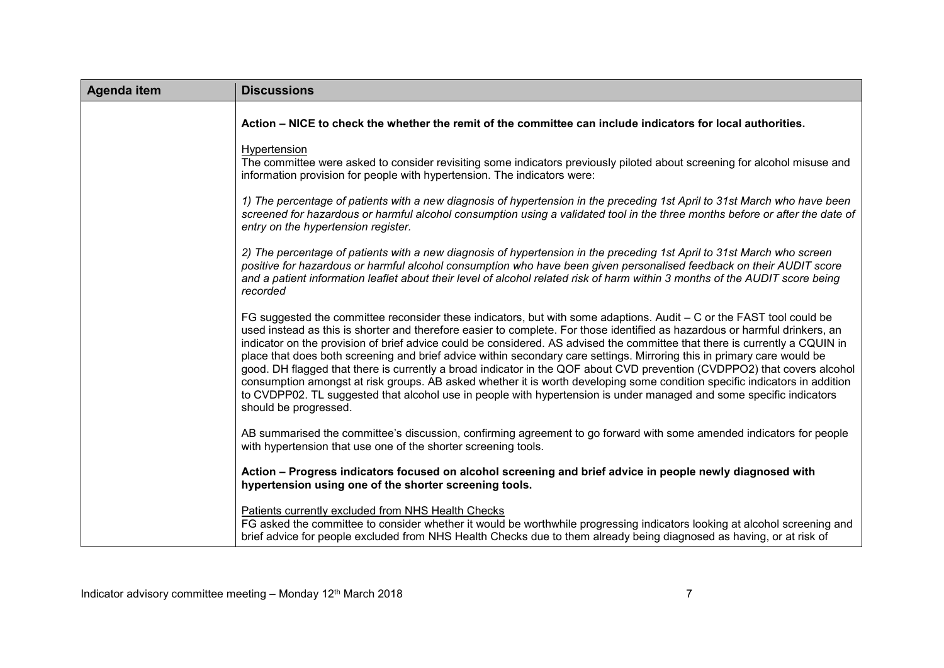| <b>Agenda item</b> | <b>Discussions</b>                                                                                                                                                                                                                                                                                                                                                                                                                                                                                                                                                                                                                                                                                                                                                                                                                                                                                                      |
|--------------------|-------------------------------------------------------------------------------------------------------------------------------------------------------------------------------------------------------------------------------------------------------------------------------------------------------------------------------------------------------------------------------------------------------------------------------------------------------------------------------------------------------------------------------------------------------------------------------------------------------------------------------------------------------------------------------------------------------------------------------------------------------------------------------------------------------------------------------------------------------------------------------------------------------------------------|
|                    | Action – NICE to check the whether the remit of the committee can include indicators for local authorities.                                                                                                                                                                                                                                                                                                                                                                                                                                                                                                                                                                                                                                                                                                                                                                                                             |
|                    | Hypertension<br>The committee were asked to consider revisiting some indicators previously piloted about screening for alcohol misuse and<br>information provision for people with hypertension. The indicators were:                                                                                                                                                                                                                                                                                                                                                                                                                                                                                                                                                                                                                                                                                                   |
|                    | 1) The percentage of patients with a new diagnosis of hypertension in the preceding 1st April to 31st March who have been<br>screened for hazardous or harmful alcohol consumption using a validated tool in the three months before or after the date of<br>entry on the hypertension register.                                                                                                                                                                                                                                                                                                                                                                                                                                                                                                                                                                                                                        |
|                    | 2) The percentage of patients with a new diagnosis of hypertension in the preceding 1st April to 31st March who screen<br>positive for hazardous or harmful alcohol consumption who have been given personalised feedback on their AUDIT score<br>and a patient information leaflet about their level of alcohol related risk of harm within 3 months of the AUDIT score being<br>recorded                                                                                                                                                                                                                                                                                                                                                                                                                                                                                                                              |
|                    | FG suggested the committee reconsider these indicators, but with some adaptions. Audit – C or the FAST tool could be<br>used instead as this is shorter and therefore easier to complete. For those identified as hazardous or harmful drinkers, an<br>indicator on the provision of brief advice could be considered. AS advised the committee that there is currently a CQUIN in<br>place that does both screening and brief advice within secondary care settings. Mirroring this in primary care would be<br>good. DH flagged that there is currently a broad indicator in the QOF about CVD prevention (CVDPPO2) that covers alcohol<br>consumption amongst at risk groups. AB asked whether it is worth developing some condition specific indicators in addition<br>to CVDPP02. TL suggested that alcohol use in people with hypertension is under managed and some specific indicators<br>should be progressed. |
|                    | AB summarised the committee's discussion, confirming agreement to go forward with some amended indicators for people<br>with hypertension that use one of the shorter screening tools.                                                                                                                                                                                                                                                                                                                                                                                                                                                                                                                                                                                                                                                                                                                                  |
|                    | Action - Progress indicators focused on alcohol screening and brief advice in people newly diagnosed with<br>hypertension using one of the shorter screening tools.                                                                                                                                                                                                                                                                                                                                                                                                                                                                                                                                                                                                                                                                                                                                                     |
|                    | Patients currently excluded from NHS Health Checks<br>FG asked the committee to consider whether it would be worthwhile progressing indicators looking at alcohol screening and<br>brief advice for people excluded from NHS Health Checks due to them already being diagnosed as having, or at risk of                                                                                                                                                                                                                                                                                                                                                                                                                                                                                                                                                                                                                 |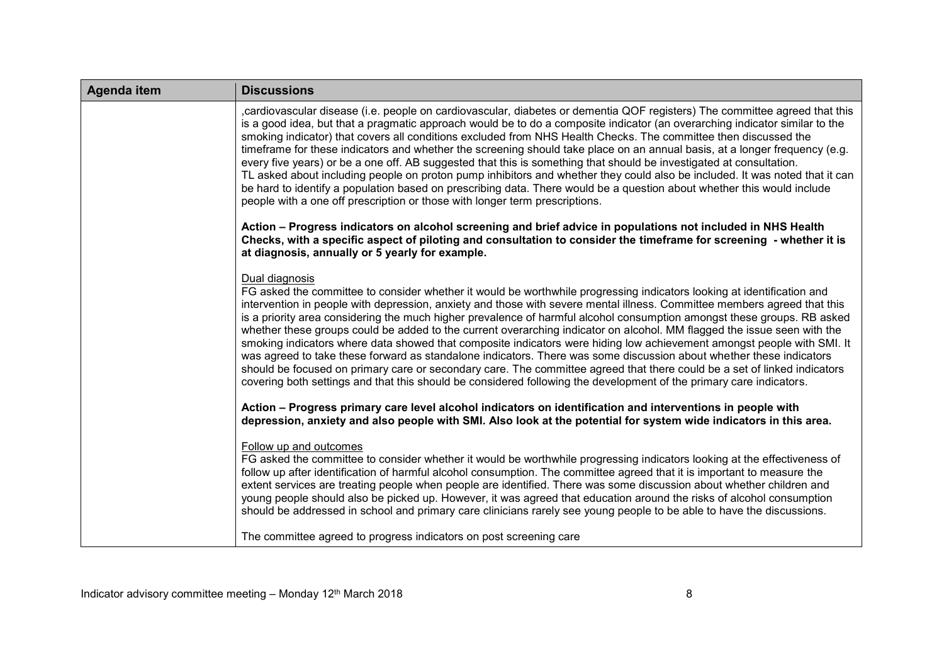| <b>Agenda item</b> | <b>Discussions</b>                                                                                                                                                                                                                                                                                                                                                                                                                                                                                                                                                                                                                                                                                                                                                                                                                                                                                                                                                                                                             |
|--------------------|--------------------------------------------------------------------------------------------------------------------------------------------------------------------------------------------------------------------------------------------------------------------------------------------------------------------------------------------------------------------------------------------------------------------------------------------------------------------------------------------------------------------------------------------------------------------------------------------------------------------------------------------------------------------------------------------------------------------------------------------------------------------------------------------------------------------------------------------------------------------------------------------------------------------------------------------------------------------------------------------------------------------------------|
|                    | cardiovascular disease (i.e. people on cardiovascular, diabetes or dementia QOF registers) The committee agreed that this<br>is a good idea, but that a pragmatic approach would be to do a composite indicator (an overarching indicator similar to the<br>smoking indicator) that covers all conditions excluded from NHS Health Checks. The committee then discussed the<br>timeframe for these indicators and whether the screening should take place on an annual basis, at a longer frequency (e.g.<br>every five years) or be a one off. AB suggested that this is something that should be investigated at consultation.<br>TL asked about including people on proton pump inhibitors and whether they could also be included. It was noted that it can<br>be hard to identify a population based on prescribing data. There would be a question about whether this would include<br>people with a one off prescription or those with longer term prescriptions.                                                       |
|                    | Action – Progress indicators on alcohol screening and brief advice in populations not included in NHS Health<br>Checks, with a specific aspect of piloting and consultation to consider the timeframe for screening - whether it is<br>at diagnosis, annually or 5 yearly for example.                                                                                                                                                                                                                                                                                                                                                                                                                                                                                                                                                                                                                                                                                                                                         |
|                    | Dual diagnosis<br>FG asked the committee to consider whether it would be worthwhile progressing indicators looking at identification and<br>intervention in people with depression, anxiety and those with severe mental illness. Committee members agreed that this<br>is a priority area considering the much higher prevalence of harmful alcohol consumption amongst these groups. RB asked<br>whether these groups could be added to the current overarching indicator on alcohol. MM flagged the issue seen with the<br>smoking indicators where data showed that composite indicators were hiding low achievement amongst people with SMI. It<br>was agreed to take these forward as standalone indicators. There was some discussion about whether these indicators<br>should be focused on primary care or secondary care. The committee agreed that there could be a set of linked indicators<br>covering both settings and that this should be considered following the development of the primary care indicators. |
|                    | Action - Progress primary care level alcohol indicators on identification and interventions in people with<br>depression, anxiety and also people with SMI. Also look at the potential for system wide indicators in this area.                                                                                                                                                                                                                                                                                                                                                                                                                                                                                                                                                                                                                                                                                                                                                                                                |
|                    | Follow up and outcomes<br>FG asked the committee to consider whether it would be worthwhile progressing indicators looking at the effectiveness of<br>follow up after identification of harmful alcohol consumption. The committee agreed that it is important to measure the<br>extent services are treating people when people are identified. There was some discussion about whether children and<br>young people should also be picked up. However, it was agreed that education around the risks of alcohol consumption<br>should be addressed in school and primary care clinicians rarely see young people to be able to have the discussions.                                                                                                                                                                                                                                                                                                                                                                         |
|                    | The committee agreed to progress indicators on post screening care                                                                                                                                                                                                                                                                                                                                                                                                                                                                                                                                                                                                                                                                                                                                                                                                                                                                                                                                                             |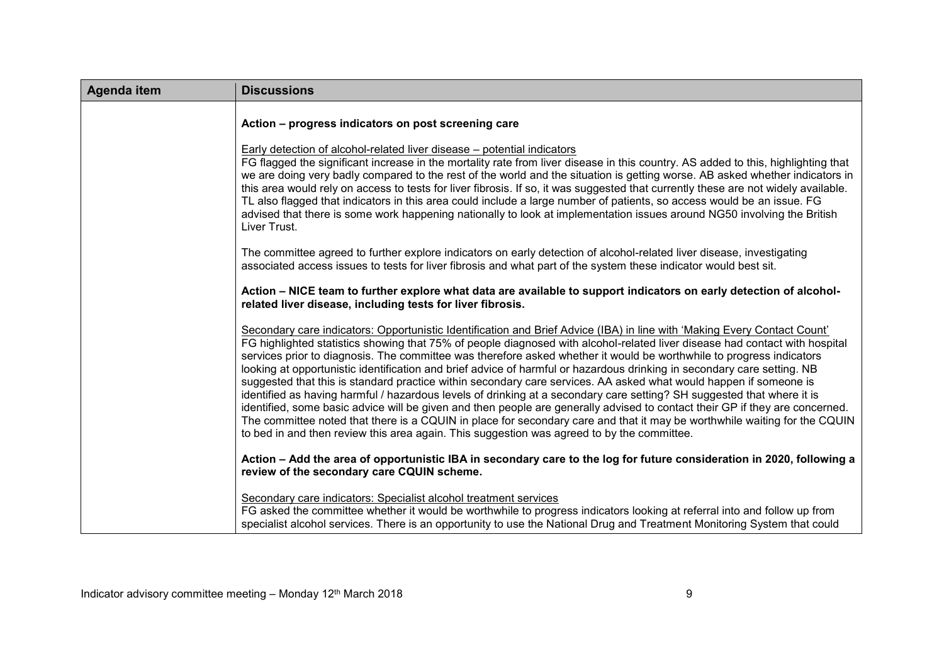| <b>Agenda item</b> | <b>Discussions</b>                                                                                                                                                                                                                                                                                                                                                                                                                                                                                                                                                                                                                                                                                                                                                                                                                                                                                                                                                                                                                                                                                                   |
|--------------------|----------------------------------------------------------------------------------------------------------------------------------------------------------------------------------------------------------------------------------------------------------------------------------------------------------------------------------------------------------------------------------------------------------------------------------------------------------------------------------------------------------------------------------------------------------------------------------------------------------------------------------------------------------------------------------------------------------------------------------------------------------------------------------------------------------------------------------------------------------------------------------------------------------------------------------------------------------------------------------------------------------------------------------------------------------------------------------------------------------------------|
|                    | Action - progress indicators on post screening care                                                                                                                                                                                                                                                                                                                                                                                                                                                                                                                                                                                                                                                                                                                                                                                                                                                                                                                                                                                                                                                                  |
|                    | Early detection of alcohol-related liver disease - potential indicators<br>FG flagged the significant increase in the mortality rate from liver disease in this country. AS added to this, highlighting that<br>we are doing very badly compared to the rest of the world and the situation is getting worse. AB asked whether indicators in<br>this area would rely on access to tests for liver fibrosis. If so, it was suggested that currently these are not widely available.<br>TL also flagged that indicators in this area could include a large number of patients, so access would be an issue. FG<br>advised that there is some work happening nationally to look at implementation issues around NG50 involving the British<br>Liver Trust.                                                                                                                                                                                                                                                                                                                                                              |
|                    | The committee agreed to further explore indicators on early detection of alcohol-related liver disease, investigating<br>associated access issues to tests for liver fibrosis and what part of the system these indicator would best sit.                                                                                                                                                                                                                                                                                                                                                                                                                                                                                                                                                                                                                                                                                                                                                                                                                                                                            |
|                    | Action – NICE team to further explore what data are available to support indicators on early detection of alcohol-<br>related liver disease, including tests for liver fibrosis.                                                                                                                                                                                                                                                                                                                                                                                                                                                                                                                                                                                                                                                                                                                                                                                                                                                                                                                                     |
|                    | Secondary care indicators: Opportunistic Identification and Brief Advice (IBA) in line with 'Making Every Contact Count'<br>FG highlighted statistics showing that 75% of people diagnosed with alcohol-related liver disease had contact with hospital<br>services prior to diagnosis. The committee was therefore asked whether it would be worthwhile to progress indicators<br>looking at opportunistic identification and brief advice of harmful or hazardous drinking in secondary care setting. NB<br>suggested that this is standard practice within secondary care services. AA asked what would happen if someone is<br>identified as having harmful / hazardous levels of drinking at a secondary care setting? SH suggested that where it is<br>identified, some basic advice will be given and then people are generally advised to contact their GP if they are concerned.<br>The committee noted that there is a CQUIN in place for secondary care and that it may be worthwhile waiting for the CQUIN<br>to bed in and then review this area again. This suggestion was agreed to by the committee. |
|                    | Action - Add the area of opportunistic IBA in secondary care to the log for future consideration in 2020, following a<br>review of the secondary care CQUIN scheme.                                                                                                                                                                                                                                                                                                                                                                                                                                                                                                                                                                                                                                                                                                                                                                                                                                                                                                                                                  |
|                    | Secondary care indicators: Specialist alcohol treatment services<br>FG asked the committee whether it would be worthwhile to progress indicators looking at referral into and follow up from<br>specialist alcohol services. There is an opportunity to use the National Drug and Treatment Monitoring System that could                                                                                                                                                                                                                                                                                                                                                                                                                                                                                                                                                                                                                                                                                                                                                                                             |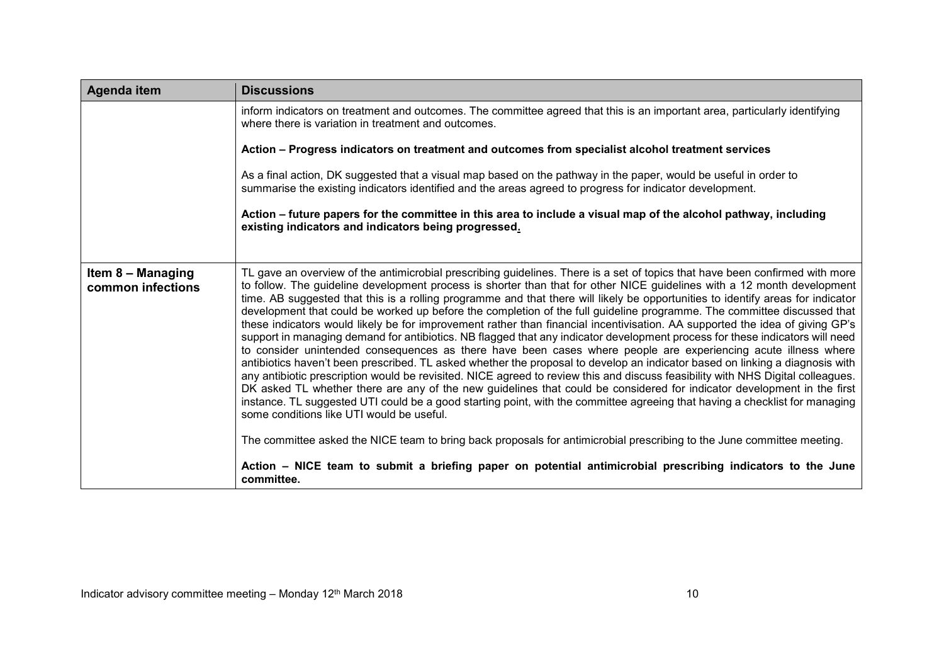| Agenda item                            | <b>Discussions</b>                                                                                                                                                                                                                                                                                                                                                                                                                                                                                                                                                                                                                                                                                                                                                                                                                                                                                                                                                                                                                                                                                                                                                                                                                                                                                                                                                                                                                                                                                                                                                                                                                                                                                                         |
|----------------------------------------|----------------------------------------------------------------------------------------------------------------------------------------------------------------------------------------------------------------------------------------------------------------------------------------------------------------------------------------------------------------------------------------------------------------------------------------------------------------------------------------------------------------------------------------------------------------------------------------------------------------------------------------------------------------------------------------------------------------------------------------------------------------------------------------------------------------------------------------------------------------------------------------------------------------------------------------------------------------------------------------------------------------------------------------------------------------------------------------------------------------------------------------------------------------------------------------------------------------------------------------------------------------------------------------------------------------------------------------------------------------------------------------------------------------------------------------------------------------------------------------------------------------------------------------------------------------------------------------------------------------------------------------------------------------------------------------------------------------------------|
|                                        | inform indicators on treatment and outcomes. The committee agreed that this is an important area, particularly identifying<br>where there is variation in treatment and outcomes.                                                                                                                                                                                                                                                                                                                                                                                                                                                                                                                                                                                                                                                                                                                                                                                                                                                                                                                                                                                                                                                                                                                                                                                                                                                                                                                                                                                                                                                                                                                                          |
|                                        | Action - Progress indicators on treatment and outcomes from specialist alcohol treatment services                                                                                                                                                                                                                                                                                                                                                                                                                                                                                                                                                                                                                                                                                                                                                                                                                                                                                                                                                                                                                                                                                                                                                                                                                                                                                                                                                                                                                                                                                                                                                                                                                          |
|                                        | As a final action, DK suggested that a visual map based on the pathway in the paper, would be useful in order to<br>summarise the existing indicators identified and the areas agreed to progress for indicator development.                                                                                                                                                                                                                                                                                                                                                                                                                                                                                                                                                                                                                                                                                                                                                                                                                                                                                                                                                                                                                                                                                                                                                                                                                                                                                                                                                                                                                                                                                               |
|                                        | Action – future papers for the committee in this area to include a visual map of the alcohol pathway, including<br>existing indicators and indicators being progressed.                                                                                                                                                                                                                                                                                                                                                                                                                                                                                                                                                                                                                                                                                                                                                                                                                                                                                                                                                                                                                                                                                                                                                                                                                                                                                                                                                                                                                                                                                                                                                    |
|                                        |                                                                                                                                                                                                                                                                                                                                                                                                                                                                                                                                                                                                                                                                                                                                                                                                                                                                                                                                                                                                                                                                                                                                                                                                                                                                                                                                                                                                                                                                                                                                                                                                                                                                                                                            |
| Item 8 - Managing<br>common infections | TL gave an overview of the antimicrobial prescribing guidelines. There is a set of topics that have been confirmed with more<br>to follow. The guideline development process is shorter than that for other NICE guidelines with a 12 month development<br>time. AB suggested that this is a rolling programme and that there will likely be opportunities to identify areas for indicator<br>development that could be worked up before the completion of the full guideline programme. The committee discussed that<br>these indicators would likely be for improvement rather than financial incentivisation. AA supported the idea of giving GP's<br>support in managing demand for antibiotics. NB flagged that any indicator development process for these indicators will need<br>to consider unintended consequences as there have been cases where people are experiencing acute illness where<br>antibiotics haven't been prescribed. TL asked whether the proposal to develop an indicator based on linking a diagnosis with<br>any antibiotic prescription would be revisited. NICE agreed to review this and discuss feasibility with NHS Digital colleagues.<br>DK asked TL whether there are any of the new guidelines that could be considered for indicator development in the first<br>instance. TL suggested UTI could be a good starting point, with the committee agreeing that having a checklist for managing<br>some conditions like UTI would be useful.<br>The committee asked the NICE team to bring back proposals for antimicrobial prescribing to the June committee meeting.<br>Action – NICE team to submit a briefing paper on potential antimicrobial prescribing indicators to the June |
|                                        | committee.                                                                                                                                                                                                                                                                                                                                                                                                                                                                                                                                                                                                                                                                                                                                                                                                                                                                                                                                                                                                                                                                                                                                                                                                                                                                                                                                                                                                                                                                                                                                                                                                                                                                                                                 |